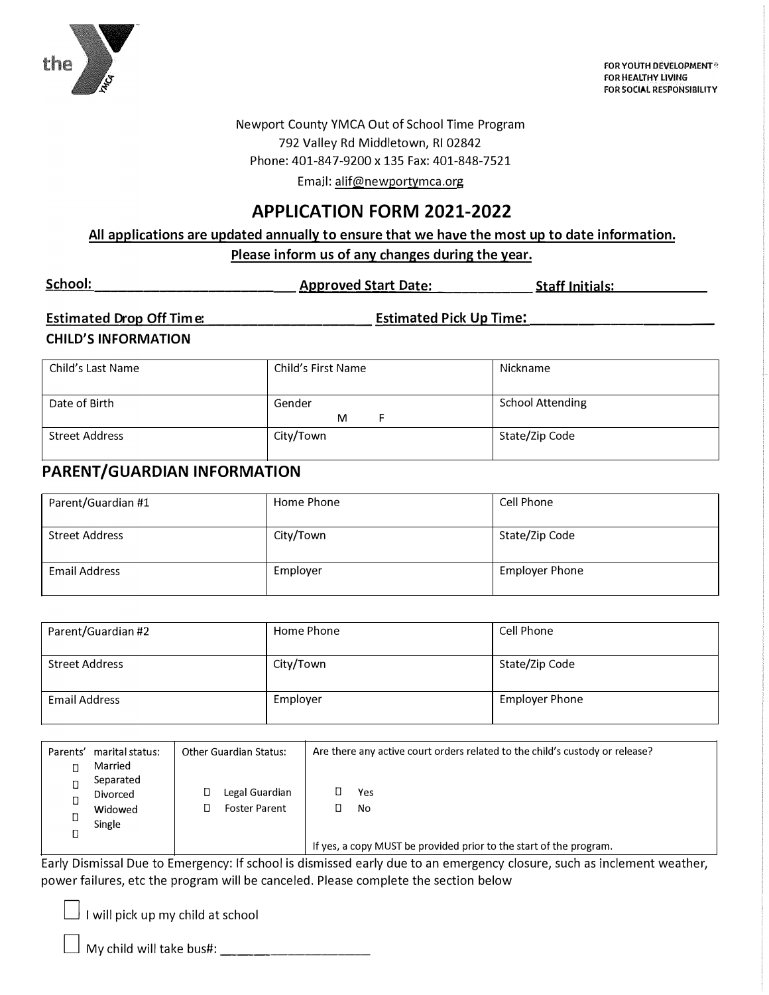

FOR YOUTH DEVELOPMENT® **FOR HEALTHY LIVING** FOR SOCIAL RESPONSIBILITY

Newport County YMCA Out of School Time Program 792 Valley Rd Middletown, RI 02842 Phone: 401-847-9200 x 135 Fax: 401-848-7521

Email: alif@newportymca.org

### **APPLICATION FORM 2021-2022**

All applications are updated annually to ensure that we have the most up to date information. Please inform us of any changes during the year.

| School: | <b>Approved Start Date:</b> | <b>Staff Initials:</b> |
|---------|-----------------------------|------------------------|
|         |                             |                        |

#### Estimated Drop Off Time: \_\_\_\_\_\_\_\_\_\_\_\_\_\_\_\_\_\_\_ Estimated Pick Up Time: \_\_\_\_\_\_\_\_\_\_\_

#### **CHILD'S INFORMATION**

| Child's Last Name | Child's First Name | Nickname                |
|-------------------|--------------------|-------------------------|
|                   |                    |                         |
| Date of Birth     | Gender             | <b>School Attending</b> |
|                   | M                  |                         |
| Street Address    | City/Town          | State/Zip Code          |
|                   |                    |                         |

### PARENT/GUARDIAN INFORMATION

| Parent/Guardian #1    | Home Phone | Cell Phone            |
|-----------------------|------------|-----------------------|
| <b>Street Address</b> | City/Town  | State/Zip Code        |
| <b>Email Address</b>  | Employer   | <b>Employer Phone</b> |

| Parent/Guardian #2    | Home Phone | Cell Phone            |
|-----------------------|------------|-----------------------|
| <b>Street Address</b> | City/Town  | State/Zip Code        |
| <b>Email Address</b>  | Employer   | <b>Employer Phone</b> |

| Parents' | marital status:<br>Married<br>Separated<br>Divorced<br>Widowed<br>Single | <b>Other Guardian Status:</b><br>Legal Guardian<br><b>Foster Parent</b> | Are there any active court orders related to the child's custody or release?<br>Yes<br>No |
|----------|--------------------------------------------------------------------------|-------------------------------------------------------------------------|-------------------------------------------------------------------------------------------|
| П        |                                                                          |                                                                         | If yes, a copy MUST be provided prior to the start of the program.                        |

Early Dismissal Due to Emergency: If school is dismissed early due to an emergency closure, such as inclement weather, power failures, etc the program will be canceled. Please complete the section below

 $\perp$  I will pick up my child at school

 $\Box$  My child will take bus#: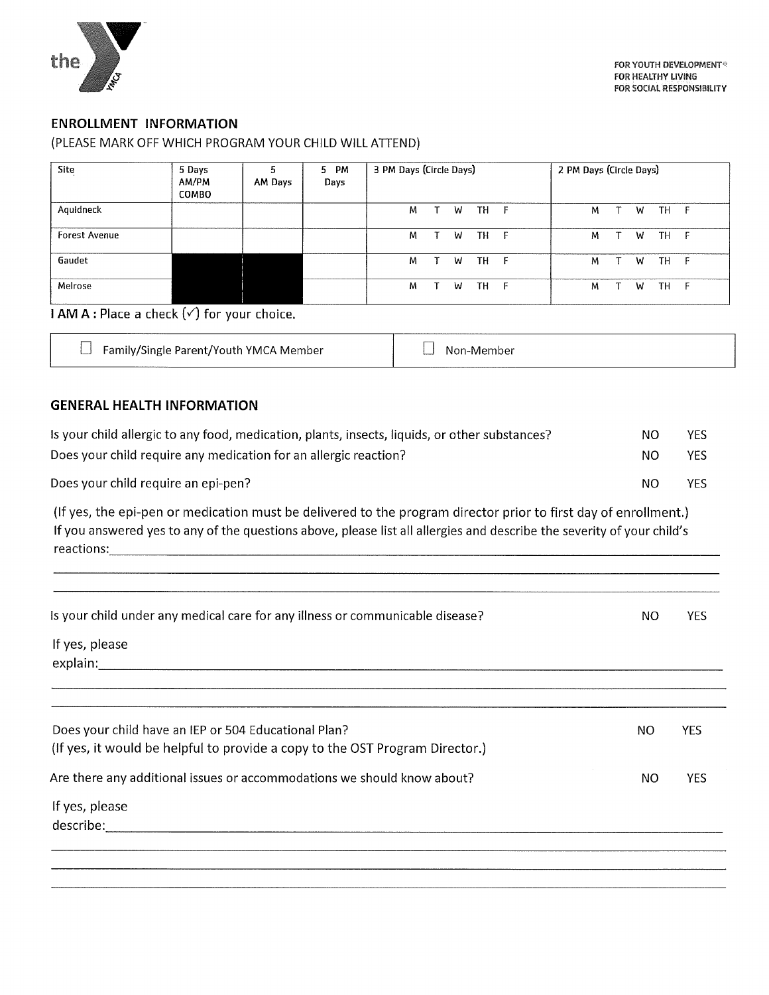

#### **ENROLLMENT INFORMATION**

#### (PLEASE MARK OFF WHICH PROGRAM YOUR CHILD WILL ATTEND)

| Site                 | 5 Days<br>AM/PM<br><b>COMBO</b> | AM Days | 5 PM<br>Days | 3 PM Days (Circle Days) |   |           |              | 2 PM Days (Circle Days) |   |    |      |  |
|----------------------|---------------------------------|---------|--------------|-------------------------|---|-----------|--------------|-------------------------|---|----|------|--|
| Aquidneck            |                                 |         |              | Μ                       | W | <b>TH</b> | $\mathsf{F}$ | M                       | W | TH | F    |  |
| <b>Forest Avenue</b> |                                 |         |              | м                       | W | TH        | $-F$         | м                       | W | TH | - F  |  |
| Gaudet               |                                 |         |              | м                       | W | TH        | - F          | M                       | W | TH | - F  |  |
| Melrose              |                                 |         |              | м                       | w | TH        | - F          | м                       | W | TH | $-F$ |  |

#### $IAM A$ : Place a check  $(\checkmark)$  for your choice.

| Family/Single Parent/Youth YMCA Member | Non-Member |
|----------------------------------------|------------|
|----------------------------------------|------------|

#### **GENERAL HEALTH INFORMATION**

| Is your child allergic to any food, medication, plants, insects, liquids, or other substances? | NO  | YES. |
|------------------------------------------------------------------------------------------------|-----|------|
| Does your child require any medication for an allergic reaction?                               | NO. | YES. |
| Does your child require an epi-pen?                                                            | ΝO  | YES. |

(If yes, the epi-pen or medication must be delivered to the program director prior to first day of enrollment.) If you answered yes to any of the questions above, please list all allergies and describe the severity of your child's 

| Is your child under any medical care for any illness or communicable disease?                                                        | ΝO        | YES.       |
|--------------------------------------------------------------------------------------------------------------------------------------|-----------|------------|
| If yes, please                                                                                                                       |           |            |
| explain:                                                                                                                             |           |            |
|                                                                                                                                      |           |            |
| Does your child have an IEP or 504 Educational Plan?<br>(If yes, it would be helpful to provide a copy to the OST Program Director.) | NO.       | <b>YES</b> |
| Are there any additional issues or accommodations we should know about?                                                              | <b>NO</b> | <b>YES</b> |
| If yes, please<br>describe:                                                                                                          |           |            |
|                                                                                                                                      |           |            |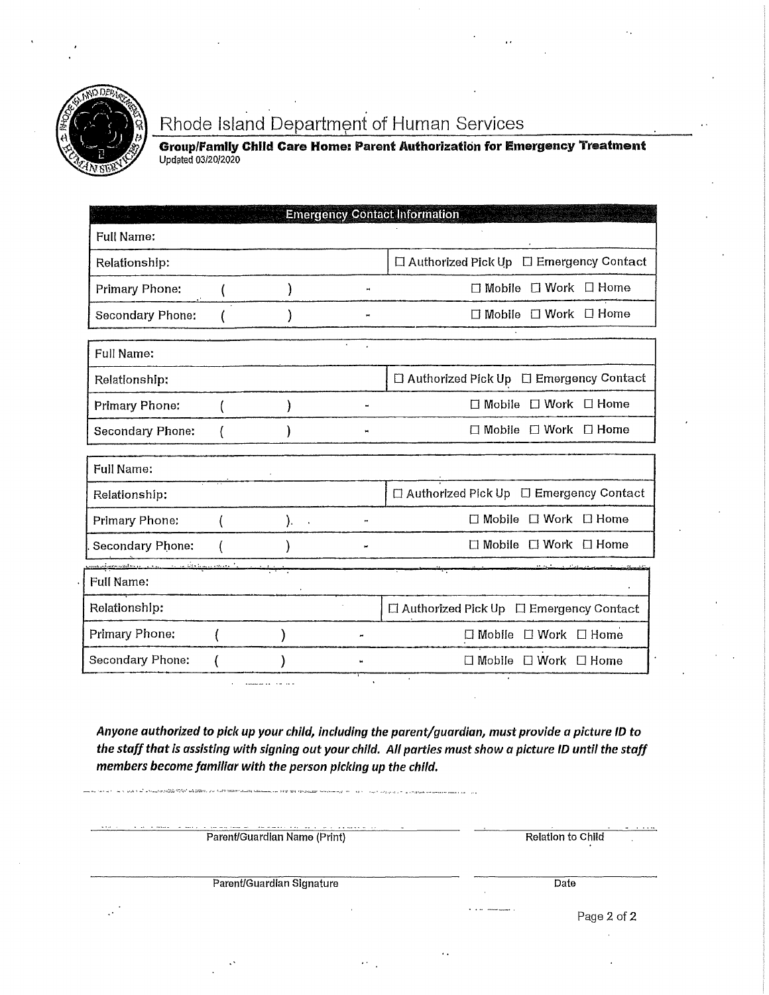

## Rhode Island Department of Human Services

**Group/Family Child Care Home: Parent Authorization for Emergency Treatment** Updated 03/20/2020

|                                                                                                                                                                                                                                      |                 |   | <b>Emergency Contact Information</b>               |
|--------------------------------------------------------------------------------------------------------------------------------------------------------------------------------------------------------------------------------------|-----------------|---|----------------------------------------------------|
| <b>Full Name:</b>                                                                                                                                                                                                                    |                 |   |                                                    |
| Relationship:                                                                                                                                                                                                                        |                 |   | $\Box$ Authorized Pick Up $\Box$ Emergency Contact |
| Primary Phone:                                                                                                                                                                                                                       |                 |   | □ Mobile □ Work □ Home                             |
| Secondary Phone:                                                                                                                                                                                                                     |                 |   | $\Box$ Mobile $\Box$ Work $\Box$ Home              |
| <b>Full Name:</b>                                                                                                                                                                                                                    |                 |   |                                                    |
| Relationship:                                                                                                                                                                                                                        |                 |   | $\Box$ Authorized Pick Up $\Box$ Emergency Contact |
| Primary Phone:                                                                                                                                                                                                                       |                 |   | $\Box$ Mobile $\Box$ Work $\Box$ Home              |
| <b>Secondary Phone:</b>                                                                                                                                                                                                              |                 | × | $\Box$ Mobile $\Box$ Work $\Box$ Home              |
| <b>Full Name:</b>                                                                                                                                                                                                                    |                 |   |                                                    |
| Relationship:                                                                                                                                                                                                                        |                 |   | $\Box$ Authorized Pick Up $\Box$ Emergency Contact |
| Primary Phone:                                                                                                                                                                                                                       | −.<br>$\lambda$ |   | $\Box$ Mobile $\Box$ Work $\Box$ Home              |
| Secondary Phone:                                                                                                                                                                                                                     |                 |   | $\Box$ Mobile $\Box$ Work $\Box$ Home              |
| <u>mondagement of the community of the community of the community of the community of the community of the community of the community of the community of the community of the community of the community of the community of th</u> |                 |   |                                                    |
| <b>Full Name:</b>                                                                                                                                                                                                                    |                 |   |                                                    |
| Relationship:                                                                                                                                                                                                                        |                 |   | □ Authorized Pick Up □ Emergency Contact           |
| Primary Phone:                                                                                                                                                                                                                       |                 |   | $\Box$ Mobile $\Box$ Work $\Box$ Home              |
| Secondary Phone:                                                                                                                                                                                                                     |                 |   | $\Box$ Mobile $\Box$ Work $\Box$ Home              |

Anyone authorized to pick up your child, including the parent/guardian, must provide a picture ID to the staff that is assisting with signing out your child. All parties must show a picture ID until the staff members become familiar with the person picking up the child.

Parent/Guardian Name (Print) Relation to Child Parent/Guardian Signature Date Page 2 of 2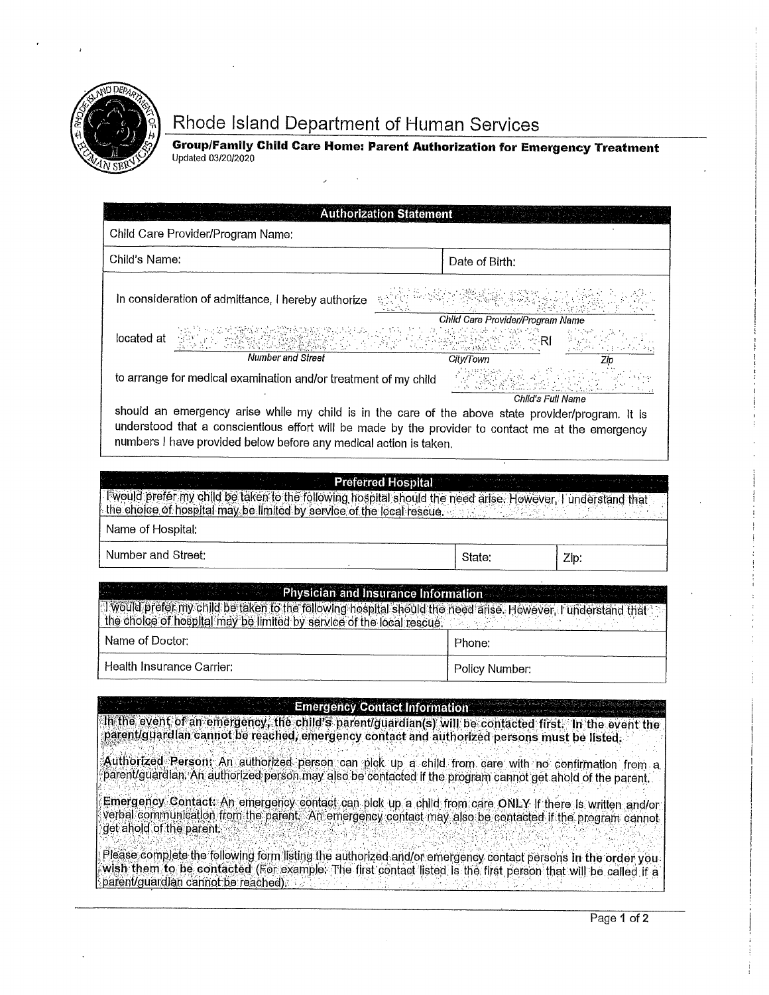

# Rhode Island Department of Human Services

Group/Family Child Care Home: Parent Authorization for Emergency Treatment<br>Updated 03/20/2020

| Child Care Provider/Program Name:                                                                                                                                                                                                                                                                                   |                                                      |  |
|---------------------------------------------------------------------------------------------------------------------------------------------------------------------------------------------------------------------------------------------------------------------------------------------------------------------|------------------------------------------------------|--|
| Child's Name:                                                                                                                                                                                                                                                                                                       | Date of Birth:                                       |  |
| In consideration of admittance, I hereby authorize                                                                                                                                                                                                                                                                  |                                                      |  |
| located at<br><b>Number and Street</b>                                                                                                                                                                                                                                                                              | Child Care Provider/Program Name<br><b>City/Town</b> |  |
| to arrange for medical examination and/or treatment of my child                                                                                                                                                                                                                                                     | Child's Full Name                                    |  |
| understood that a conscientious effort will be made by the provider to contact me at the emergency<br>numbers I have provided below before any medical action is taken.<br><b>Preferred Hospital</b><br>Twould prefer my child be taken to the following hospital should the need arise. However, I understand that |                                                      |  |
| the choice of hospital may be limited by service of the local rescue.<br>Name of Hospital:                                                                                                                                                                                                                          |                                                      |  |
| Number and Street:                                                                                                                                                                                                                                                                                                  | State:                                               |  |
|                                                                                                                                                                                                                                                                                                                     | Zip:                                                 |  |
| <b>Example 2 Physician and Insurance Information</b><br>I would prefer my child be taken to the following hospital should the need arise. However, I understand that<br>the choice of hospital may be limited by service of the local rescue.                                                                       |                                                      |  |
| Name of Doctor:                                                                                                                                                                                                                                                                                                     | Phone:                                               |  |
| Health Insurance Carrier:                                                                                                                                                                                                                                                                                           | Policy Number:                                       |  |
| <b>Emergency Contact Information</b><br>In the event of an emergency, the child's parent/guardian(s) will be contacted first. In the event the<br>parent/guardian cannot be reached, emergency contact and authorized persons must be listed.                                                                       |                                                      |  |
| Authorized Person: An authorized person can plck up a child from care with no confirmation from a<br>parent/guardian. An authorized person may also be contacted if the program cannot get ahold of the parent.                                                                                                     |                                                      |  |
| Emergency Contact: An emergency contact can plck up a child from care ONLY if there is written and/or<br>verbal communication from the parent. An emergency contact may also be contacted if the program cannot<br>get ahold of the parent.                                                                         |                                                      |  |
| Please complete the following form listing the authorized and/or emergency contact persons in the order you<br>wish them to be contacted (For example: The first contact listed is the first person that will be called if a<br>parent/guardian cannot be reached).                                                 |                                                      |  |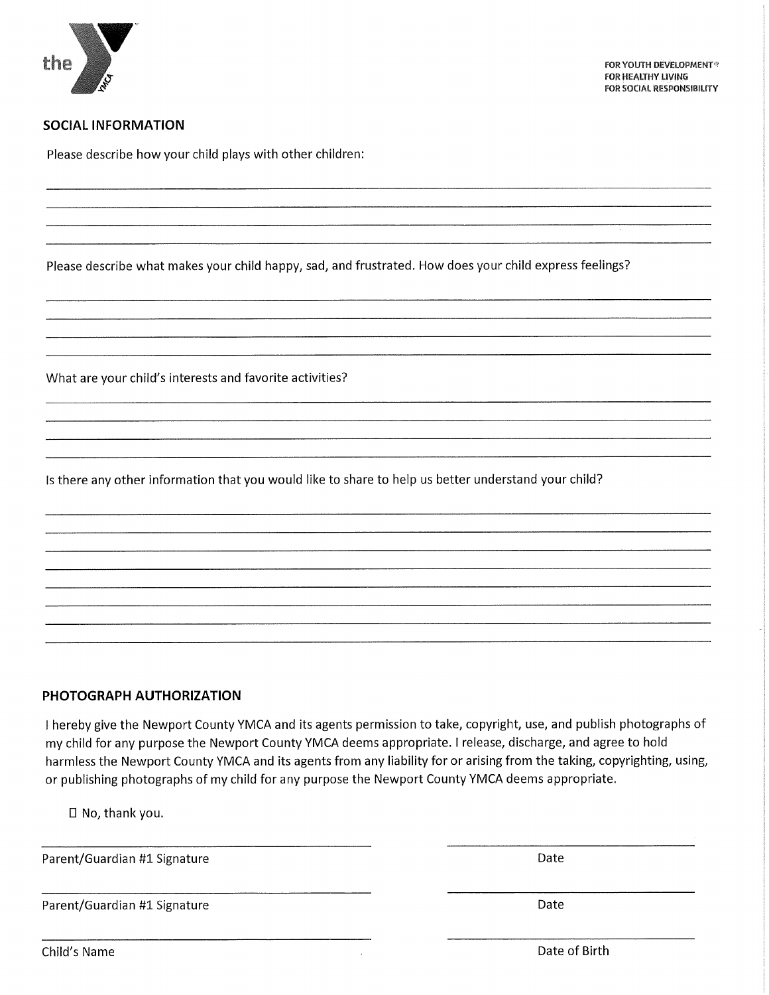

#### **SOCIAL INFORMATION**

Please describe how your child plays with other children:

Please describe what makes your child happy, sad, and frustrated. How does your child express feelings?

What are your child's interests and favorite activities?

Is there any other information that you would like to share to help us better understand your child?

#### PHOTOGRAPH AUTHORIZATION

I hereby give the Newport County YMCA and its agents permission to take, copyright, use, and publish photographs of my child for any purpose the Newport County YMCA deems appropriate. I release, discharge, and agree to hold harmless the Newport County YMCA and its agents from any liability for or arising from the taking, copyrighting, using, or publishing photographs of my child for any purpose the Newport County YMCA deems appropriate.

 $\square$  No, thank you.

Parent/Guardian #1 Signature

Date

Date

Parent/Guardian #1 Signature

Child's Name

Date of Birth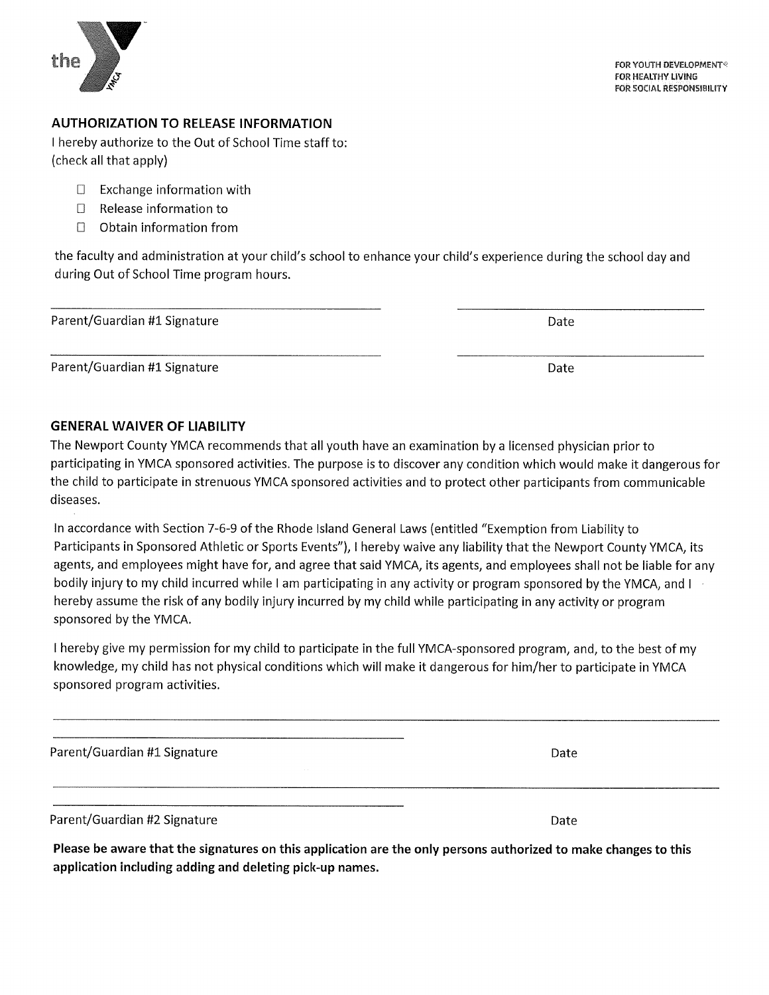

#### **AUTHORIZATION TO RELEASE INFORMATION**

I hereby authorize to the Out of School Time staff to: (check all that apply)

- $\Box$  Exchange information with
- $\Box$ Release information to
- $\Box$ Obtain information from

the faculty and administration at your child's school to enhance your child's experience during the school day and during Out of School Time program hours.

Parent/Guardian #1 Signature

Parent/Guardian #1 Signature

#### **GENERAL WAIVER OF LIABILITY**

The Newport County YMCA recommends that all youth have an examination by a licensed physician prior to participating in YMCA sponsored activities. The purpose is to discover any condition which would make it dangerous for the child to participate in strenuous YMCA sponsored activities and to protect other participants from communicable diseases.

In accordance with Section 7-6-9 of the Rhode Island General Laws (entitled "Exemption from Liability to Participants in Sponsored Athletic or Sports Events"), I hereby waive any liability that the Newport County YMCA, its agents, and employees might have for, and agree that said YMCA, its agents, and employees shall not be liable for any bodily injury to my child incurred while I am participating in any activity or program sponsored by the YMCA, and I hereby assume the risk of any bodily injury incurred by my child while participating in any activity or program sponsored by the YMCA.

I hereby give my permission for my child to participate in the full YMCA-sponsored program, and, to the best of my knowledge, my child has not physical conditions which will make it dangerous for him/her to participate in YMCA sponsored program activities.

Parent/Guardian #1 Signature

Parent/Guardian #2 Signature

Please be aware that the signatures on this application are the only persons authorized to make changes to this application including adding and deleting pick-up names.

Date

Date

Date

Date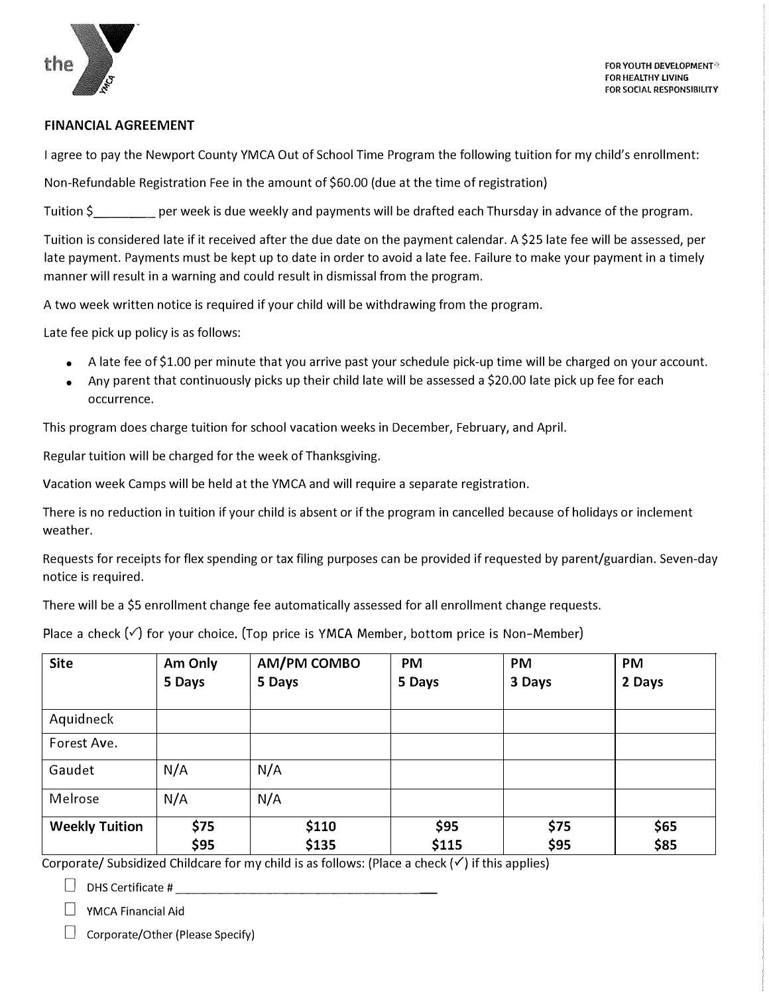

#### **FINANCIAL AGREEMENT**

I agree to pay the Newport County YMCA Out of School Time Program the following tuition for my child's enrollment:

Non-Refundable Registration Fee in the amount of \$60.00 (due at the time of registration)

Tuition \$ per week is due weekly and payments will be drafted each Thursday in advance of the program.

Tuition is considered late if it received after the due date on the payment calendar. A \$25 late fee will be assessed, per late payment. Payments must be kept up to date in order to avoid a late fee. Failure to make your payment in a timely manner will result in a warning and could result in dismissal from the program.

A two week written notice is required if your child will be withdrawing from the program.

Late fee pick up policy is as follows:

- A late fee of \$1.00 per minute that you arrive past your schedule pick-up time will be charged on your account.
- Any parent that continuously picks up their child late will be assessed a \$20.00 late pick up fee for each occurrence.

This program does charge tuition for school vacation weeks in December, February, and April.

Regular tuition will be charged for the week of Thanksgiving.

Vacation week Camps will be held at the YMCA and will require a separate registration.

There is no reduction in tuition if your child is absent or if the program in cancelled because of holidays or inclement weather.

Requests for receipts for flex spending or tax filing purposes can be provided if requested by parent/guardian. Seven-day notice is required.

There will be a \$5 enrollment change fee automatically assessed for all enrollment change requests.

| Place a check $(\check{v})$ for your choice. (Top price is YMCA Member, bottom price is Non-Member) |  |  |  |  |  |
|-----------------------------------------------------------------------------------------------------|--|--|--|--|--|
|                                                                                                     |  |  |  |  |  |

| <b>Site</b>           | Am Only<br>5 Days | AM/PM COMBO<br>5 Days | <b>PM</b><br>5 Days | <b>PM</b><br>3 Days | <b>PM</b><br>2 Days |
|-----------------------|-------------------|-----------------------|---------------------|---------------------|---------------------|
| Aquidneck             |                   |                       |                     |                     |                     |
| Forest Ave.           |                   |                       |                     |                     |                     |
| Gaudet                | N/A               | N/A                   |                     |                     |                     |
| Melrose               | N/A               | N/A                   |                     |                     |                     |
| <b>Weekly Tuition</b> | \$75<br>\$95      | \$110<br>\$135        | \$95<br>\$115       | \$75<br>\$95        | \$65<br>\$85        |

Corporate/ Subsidized Childcare for my child is as follows: (Place a check(✓) if this applies)

| DHS Certificate # |  |
|-------------------|--|
|-------------------|--|

 $\Box$  YMCA Financial Aid

Corporate/Other (Please Specify)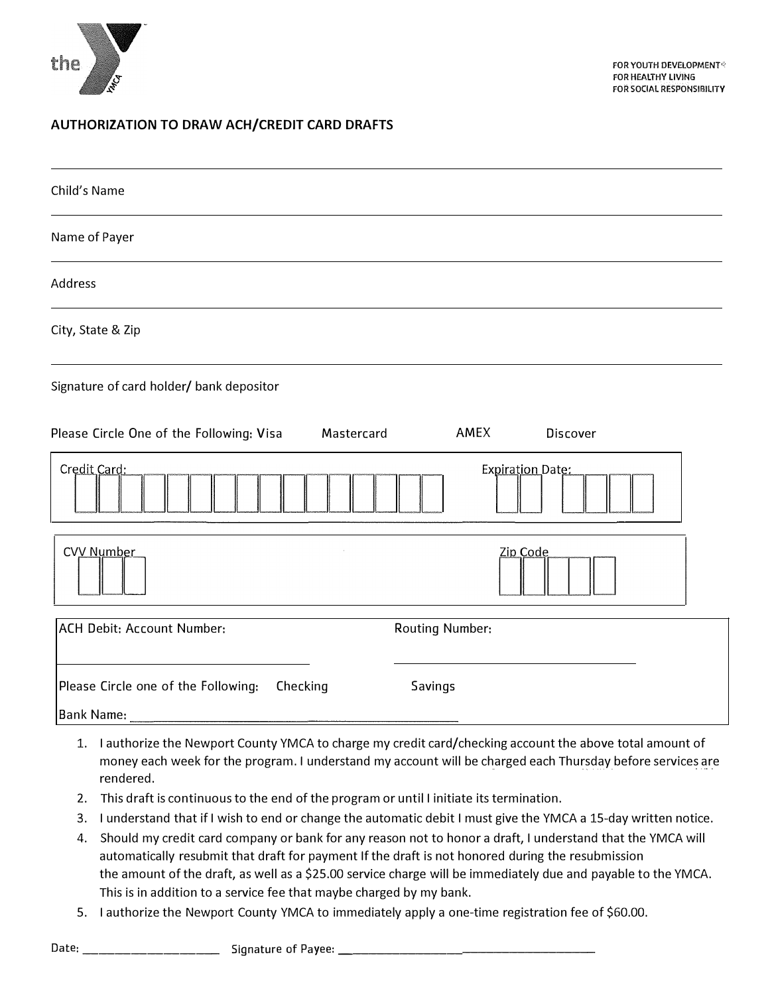

#### **AUTHORIZATION TO DRAW ACH/CREDIT CARD DRAFTS**

| Child's Name                                                  |                         |
|---------------------------------------------------------------|-------------------------|
| Name of Payer                                                 |                         |
| Address                                                       |                         |
| City, State & Zip                                             |                         |
| Signature of card holder/ bank depositor                      |                         |
| Please Circle One of the Following: Visa<br>Mastercard        | AMEX<br>Discover        |
| Credit Card:                                                  | <b>Expiration Date:</b> |
| CVV Number                                                    | Zip Code                |
| <b>ACH Debit: Account Number:</b>                             | <b>Routing Number:</b>  |
| Please Circle one of the Following:<br>Checking<br>Bank Name: | Savings                 |

- 1. I authorize the Newport County YMCA to charge my credit card/checking account the above total amount of money each week for the program. I understand my account will be charged each Thursday before services are rendered.
- 2. This draft is continuous to the end of the program or until I initiate its termination.
- 3. I understand that if I wish to end or change the automatic debit I must give the YMCA a 15-day written notice.
- 4. Should my credit card company or bank for any reason not to honor a draft, I understand that the YMCA will automatically resubmit that draft for payment If the draft is not honored during the resubmission the amount of the draft, as well as a \$25.00 service charge will be immediately due and payable to the YMCA. This is in addition to a service fee that maybe charged by my bank.
- 5. I authorize the Newport County YMCA to immediately apply a one-time registration fee of \$60.00.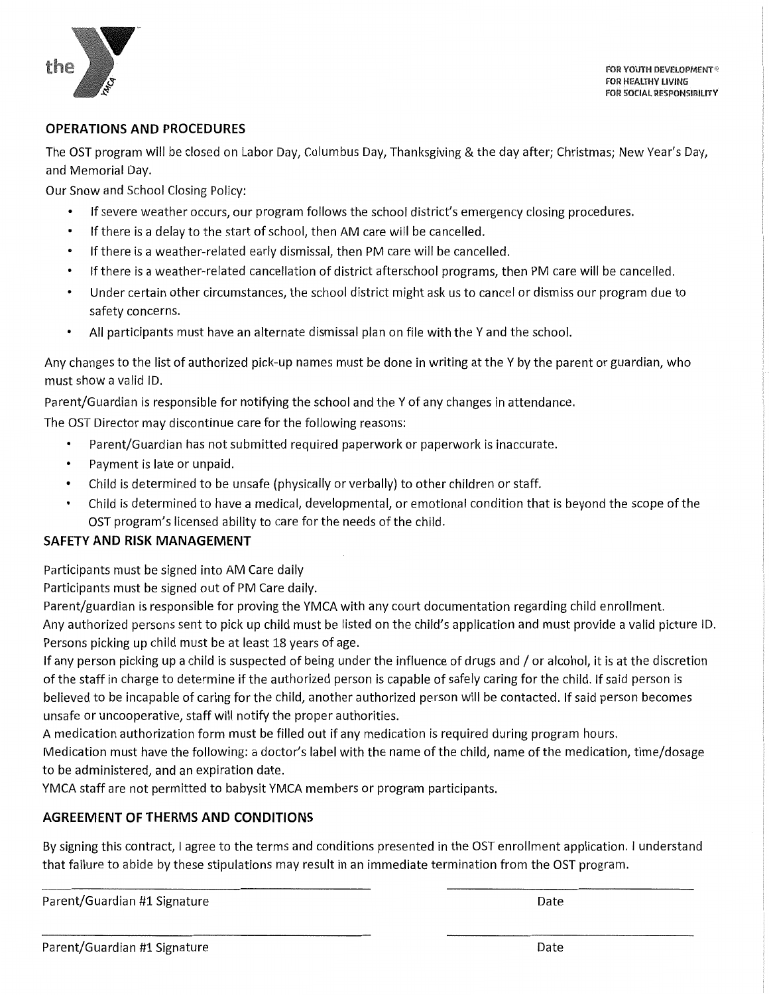

FOR YOUTH DEVELOPMENT® **FOR HEALTHY LIVING** FOR SOCIAL RESPONSIBILITY

#### **OPERATIONS AND PROCEDURES**

The OST program will be closed on Labor Day, Columbus Day, Thanksgiving & the day after; Christmas; New Year's Day, and Memorial Day.

Our Snow and School Closing Policy:

- If severe weather occurs, our program follows the school district's emergency closing procedures.
- If there is a delay to the start of school, then AM care will be cancelled.  $\bullet$
- If there is a weather-related early dismissal, then PM care will be cancelled.
- If there is a weather-related cancellation of district afterschool programs, then PM care will be cancelled.  $\bullet$
- Under certain other circumstances, the school district might ask us to cancel or dismiss our program due to  $\bullet$ safety concerns.
- All participants must have an alternate dismissal plan on file with the Y and the school.  $\bullet$

Any changes to the list of authorized pick-up names must be done in writing at the Y by the parent or guardian, who must show a valid ID.

Parent/Guardian is responsible for notifying the school and the Y of any changes in attendance.

The OST Director may discontinue care for the following reasons:

- Parent/Guardian has not submitted required paperwork or paperwork is inaccurate.
- Payment is late or unpaid.
- Child is determined to be unsafe (physically or verbally) to other children or staff.  $\bullet$
- Child is determined to have a medical, developmental, or emotional condition that is beyond the scope of the OST program's licensed ability to care for the needs of the child.

#### **SAFETY AND RISK MANAGEMENT**

Participants must be signed into AM Care daily

Participants must be signed out of PM Care daily.

Parent/guardian is responsible for proving the YMCA with any court documentation regarding child enrollment. Any authorized persons sent to pick up child must be listed on the child's application and must provide a valid picture ID. Persons picking up child must be at least 18 years of age.

If any person picking up a child is suspected of being under the influence of drugs and / or alcohol, it is at the discretion of the staff in charge to determine if the authorized person is capable of safely caring for the child. If said person is believed to be incapable of caring for the child, another authorized person will be contacted. If said person becomes unsafe or uncooperative, staff will notify the proper authorities.

A medication authorization form must be filled out if any medication is required during program hours.

Medication must have the following: a doctor's label with the name of the child, name of the medication, time/dosage to be administered, and an expiration date.

YMCA staff are not permitted to babysit YMCA members or program participants.

#### **AGREEMENT OF THERMS AND CONDITIONS**

By signing this contract, I agree to the terms and conditions presented in the OST enrollment application. I understand that failure to abide by these stipulations may result in an immediate termination from the OST program.

Parent/Guardian #1 Signature

Date